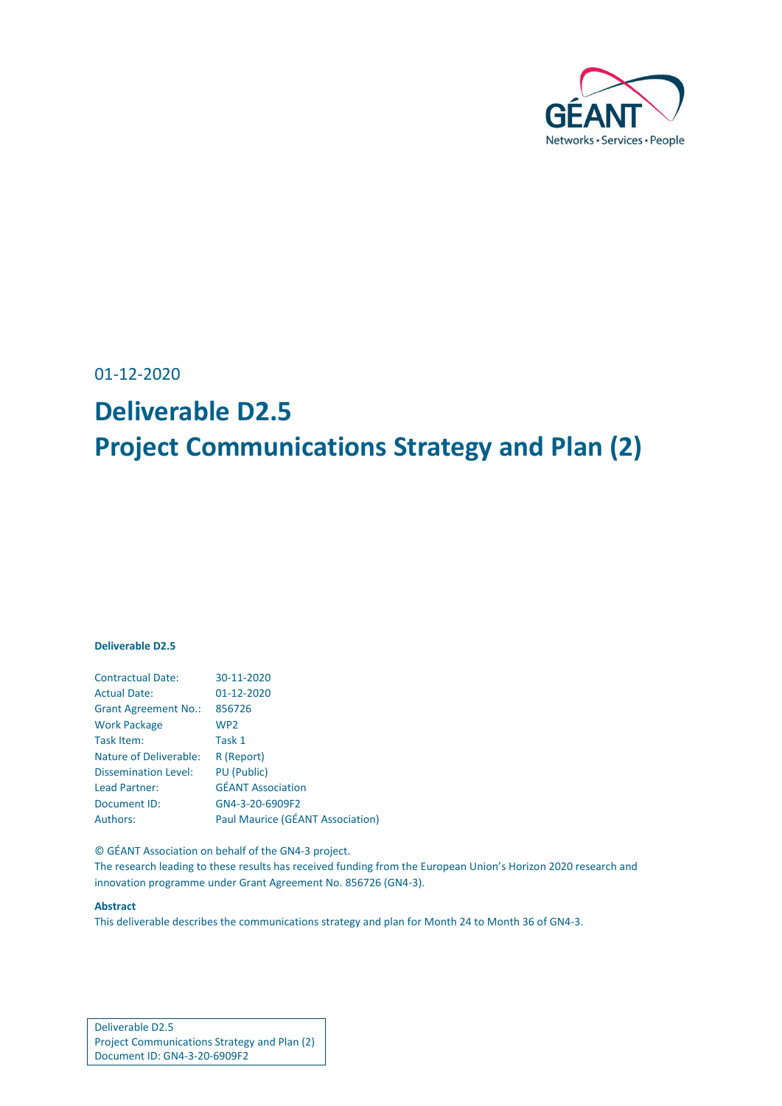

01-12-2020

# **Deliverable D2.5 Project Communications Strategy and Plan (2)**

#### **Deliverable D2.5**

| <b>Contractual Date:</b>      | 30-11-2020                       |
|-------------------------------|----------------------------------|
| <b>Actual Date:</b>           | 01-12-2020                       |
| <b>Grant Agreement No.:</b>   | 856726                           |
| <b>Work Package</b>           | WP <sub>2</sub>                  |
| Task Item:                    | Task 1                           |
| <b>Nature of Deliverable:</b> | R (Report)                       |
| <b>Dissemination Level:</b>   | <b>PU</b> (Public)               |
| Lead Partner:                 | <b>GÉANT Association</b>         |
| Document ID:                  | GN4-3-20-6909F2                  |
| <b>Authors:</b>               | Paul Maurice (GÉANT Association) |

© GÉANT Association on behalf of the GN4-3 project.

The research leading to these results has received funding from the European Union's Horizon 2020 research and innovation programme under Grant Agreement No. 856726 (GN4-3).

#### **Abstract**

This deliverable describes the communications strategy and plan for Month 24 to Month 36 of GN4-3.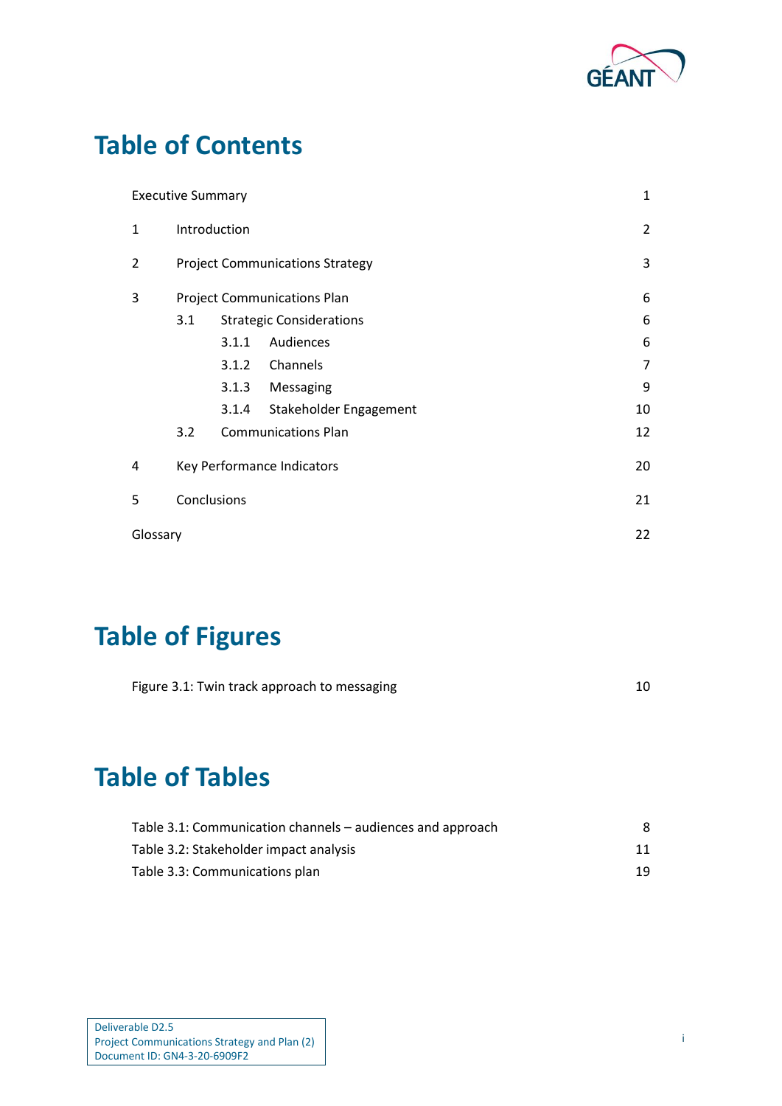

# **Table of Contents**

|          | <b>Executive Summary</b> |       |                                        | 1              |
|----------|--------------------------|-------|----------------------------------------|----------------|
| 1        | Introduction             |       |                                        | $\overline{2}$ |
| 2        |                          |       | <b>Project Communications Strategy</b> | 3              |
| 3        |                          |       | <b>Project Communications Plan</b>     | 6              |
|          | 3.1                      |       | <b>Strategic Considerations</b>        | 6              |
|          |                          | 3.1.1 | Audiences                              | 6              |
|          |                          | 3.1.2 | Channels                               | 7              |
|          |                          | 3.1.3 | Messaging                              | 9              |
|          |                          | 3.1.4 | Stakeholder Engagement                 | 10             |
|          | 3.2                      |       | <b>Communications Plan</b>             | 12             |
| 4        |                          |       | Key Performance Indicators             | 20             |
| 5        | Conclusions              |       |                                        | 21             |
| Glossary |                          |       |                                        | 22             |

# **Table of Figures**

| Figure 3.1: Twin track approach to messaging |  |
|----------------------------------------------|--|
|                                              |  |

# **Table of Tables**

| Table 3.1: Communication channels – audiences and approach |    |
|------------------------------------------------------------|----|
| Table 3.2: Stakeholder impact analysis                     | 11 |
| Table 3.3: Communications plan                             | 19 |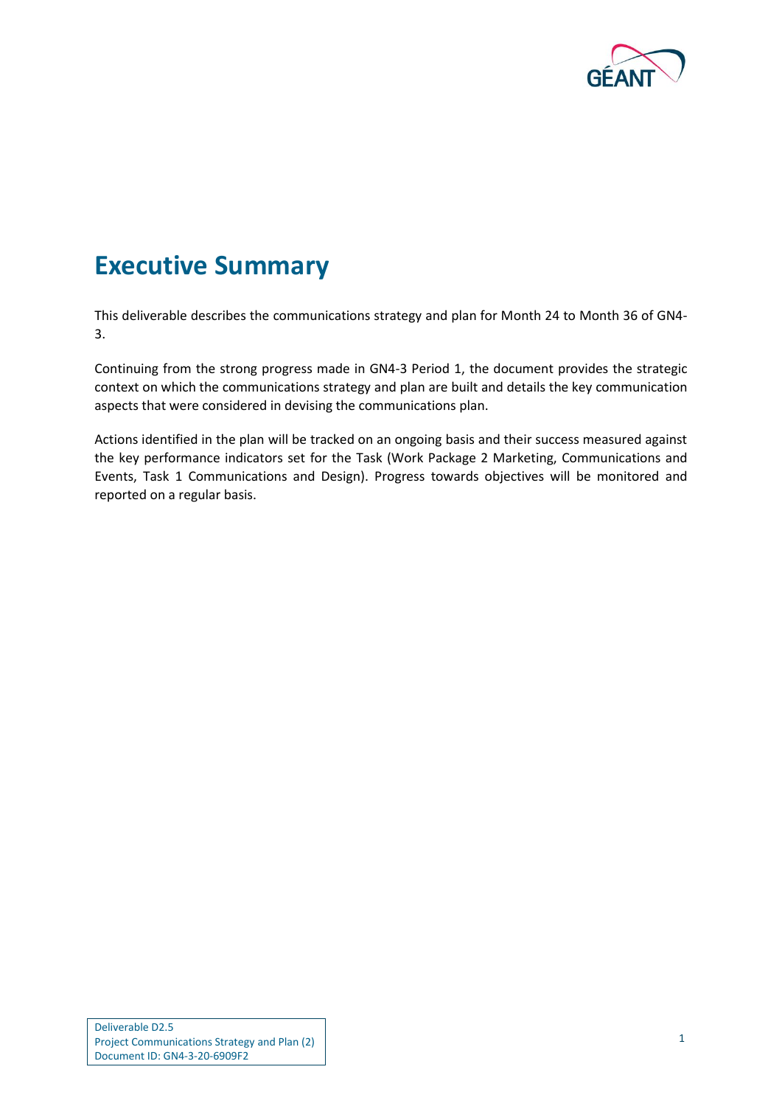

### <span id="page-2-0"></span>**Executive Summary**

This deliverable describes the communications strategy and plan for Month 24 to Month 36 of GN4- 3.

Continuing from the strong progress made in GN4-3 Period 1, the document provides the strategic context on which the communications strategy and plan are built and details the key communication aspects that were considered in devising the communications plan.

Actions identified in the plan will be tracked on an ongoing basis and their success measured against the key performance indicators set for the Task (Work Package 2 Marketing, Communications and Events, Task 1 Communications and Design). Progress towards objectives will be monitored and reported on a regular basis.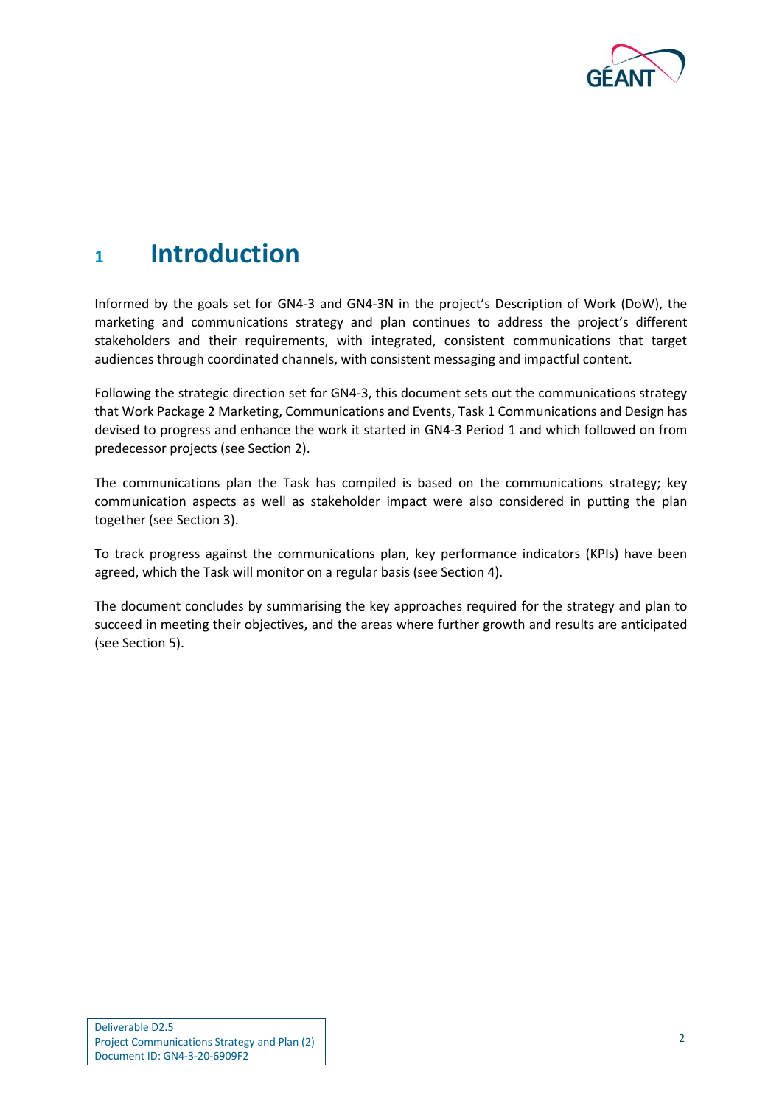

### <span id="page-3-0"></span>**<sup>1</sup> Introduction**

Informed by the goals set for GN4-3 and GN4-3N in the project's Description of Work (DoW), the marketing and communications strategy and plan continues to address the project's different stakeholders and their requirements, with integrated, consistent communications that target audiences through coordinated channels, with consistent messaging and impactful content.

Following the strategic direction set for GN4-3, this document sets out the communications strategy that Work Package 2 Marketing, Communications and Events, Task 1 Communications and Design has devised to progress and enhance the work it started in GN4-3 Period 1 and which followed on from predecessor projects (see Section [2\)](#page-4-0).

The communications plan the Task has compiled is based on the communications strategy; key communication aspects as well as stakeholder impact were also considered in putting the plan together (see Section [3\)](#page-7-0).

To track progress against the communications plan, key performance indicators (KPIs) have been agreed, which the Task will monitor on a regular basis (see Section [4\)](#page-21-0).

The document concludes by summarising the key approaches required for the strategy and plan to succeed in meeting their objectives, and the areas where further growth and results are anticipated (see Section [5\)](#page-22-0).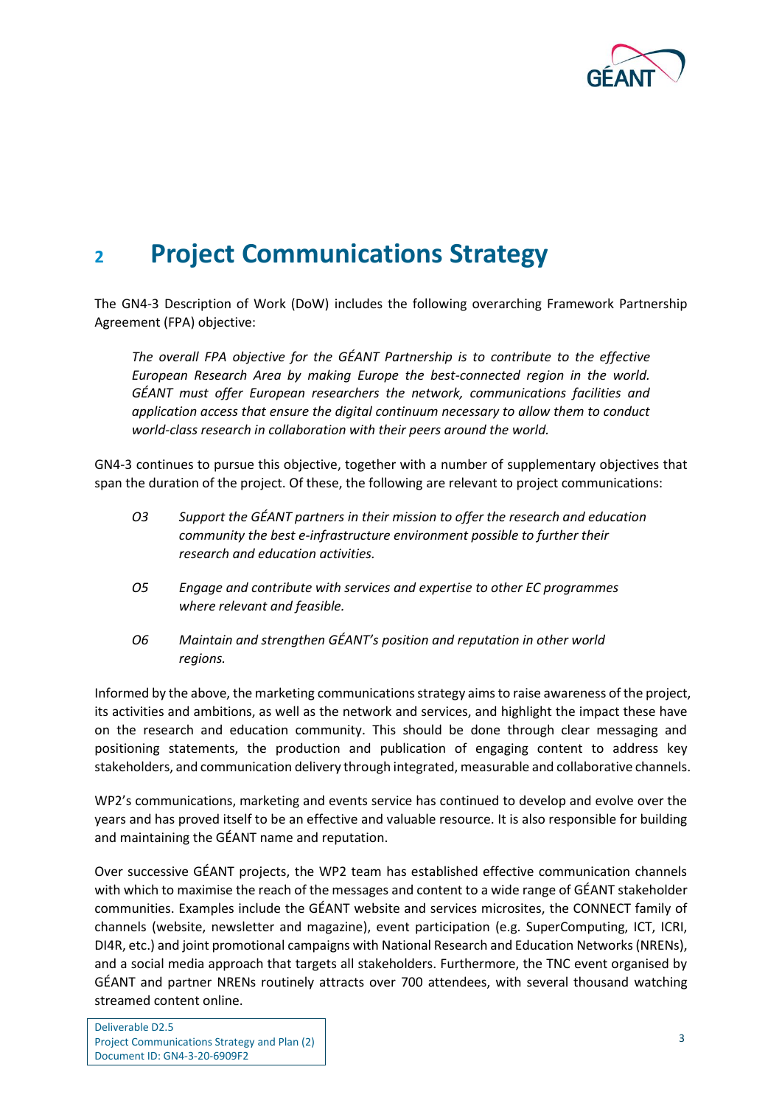

### <span id="page-4-0"></span>**<sup>2</sup> Project Communications Strategy**

The GN4-3 Description of Work (DoW) includes the following overarching Framework Partnership Agreement (FPA) objective:

*The overall FPA objective for the GÉANT Partnership is to contribute to the effective European Research Area by making Europe the best-connected region in the world. GÉANT must offer European researchers the network, communications facilities and application access that ensure the digital continuum necessary to allow them to conduct world-class research in collaboration with their peers around the world.*

GN4-3 continues to pursue this objective, together with a number of supplementary objectives that span the duration of the project. Of these, the following are relevant to project communications:

- *O3 Support the GÉANT partners in their mission to offer the research and education community the best e-infrastructure environment possible to further their research and education activities.*
- *O5 Engage and contribute with services and expertise to other EC programmes where relevant and feasible.*
- *O6 Maintain and strengthen GÉANT's position and reputation in other world regions.*

Informed by the above, the marketing communications strategy aims to raise awareness of the project, its activities and ambitions, as well as the network and services, and highlight the impact these have on the research and education community. This should be done through clear messaging and positioning statements, the production and publication of engaging content to address key stakeholders, and communication delivery through integrated, measurable and collaborative channels.

WP2's communications, marketing and events service has continued to develop and evolve over the years and has proved itself to be an effective and valuable resource. It is also responsible for building and maintaining the GÉANT name and reputation.

Over successive GÉANT projects, the WP2 team has established effective communication channels with which to maximise the reach of the messages and content to a wide range of GÉANT stakeholder communities. Examples include the GÉANT website and services microsites, the CONNECT family of channels (website, newsletter and magazine), event participation (e.g. SuperComputing, ICT, ICRI, DI4R, etc.) and joint promotional campaigns with National Research and Education Networks (NRENs), and a social media approach that targets all stakeholders. Furthermore, the TNC event organised by GÉANT and partner NRENs routinely attracts over 700 attendees, with several thousand watching streamed content online.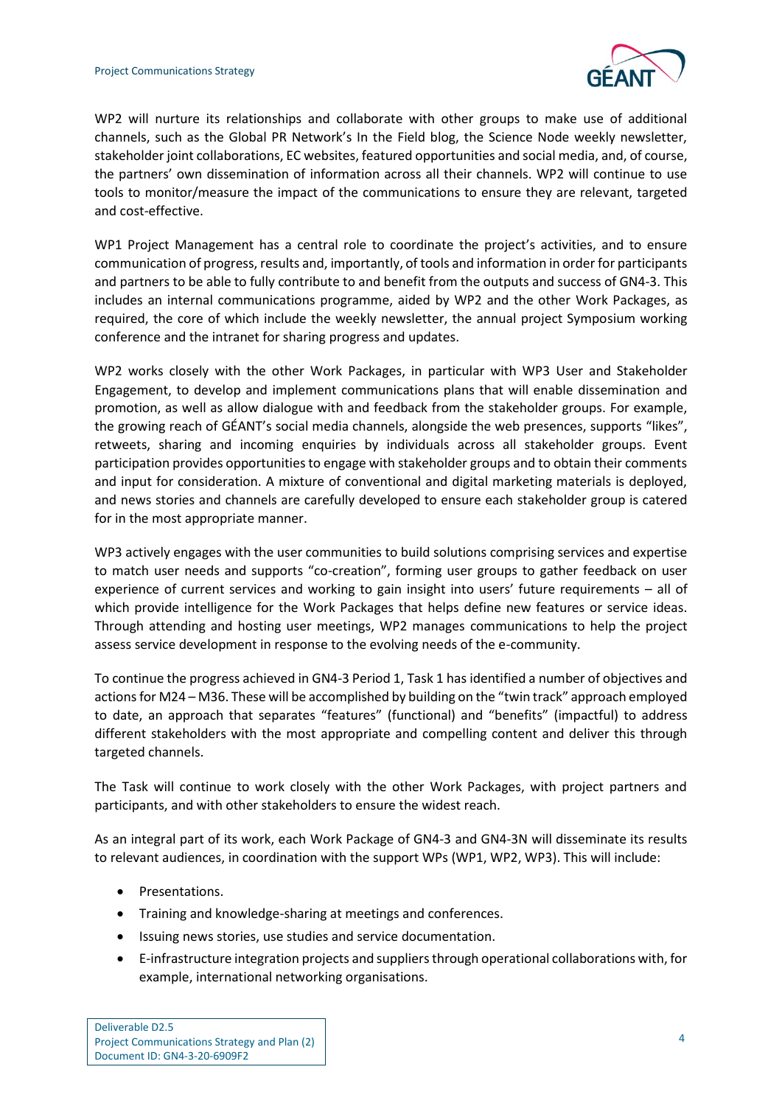

WP2 will nurture its relationships and collaborate with other groups to make use of additional channels, such as the Global PR Network's In the Field blog, the Science Node weekly newsletter, stakeholder joint collaborations, EC websites, featured opportunities and social media, and, of course, the partners' own dissemination of information across all their channels. WP2 will continue to use tools to monitor/measure the impact of the communications to ensure they are relevant, targeted and cost-effective.

WP1 Project Management has a central role to coordinate the project's activities, and to ensure communication of progress, results and, importantly, of tools and information in order for participants and partners to be able to fully contribute to and benefit from the outputs and success of GN4-3. This includes an internal communications programme, aided by WP2 and the other Work Packages, as required, the core of which include the weekly newsletter, the annual project Symposium working conference and the intranet for sharing progress and updates.

WP2 works closely with the other Work Packages, in particular with WP3 User and Stakeholder Engagement, to develop and implement communications plans that will enable dissemination and promotion, as well as allow dialogue with and feedback from the stakeholder groups. For example, the growing reach of GÉANT's social media channels, alongside the web presences, supports "likes", retweets, sharing and incoming enquiries by individuals across all stakeholder groups. Event participation provides opportunities to engage with stakeholder groups and to obtain their comments and input for consideration. A mixture of conventional and digital marketing materials is deployed, and news stories and channels are carefully developed to ensure each stakeholder group is catered for in the most appropriate manner.

WP3 actively engages with the user communities to build solutions comprising services and expertise to match user needs and supports "co-creation", forming user groups to gather feedback on user experience of current services and working to gain insight into users' future requirements – all of which provide intelligence for the Work Packages that helps define new features or service ideas. Through attending and hosting user meetings, WP2 manages communications to help the project assess service development in response to the evolving needs of the e-community.

To continue the progress achieved in GN4-3 Period 1, Task 1 has identified a number of objectives and actions for M24 – M36. These will be accomplished by building on the "twin track" approach employed to date, an approach that separates "features" (functional) and "benefits" (impactful) to address different stakeholders with the most appropriate and compelling content and deliver this through targeted channels.

The Task will continue to work closely with the other Work Packages, with project partners and participants, and with other stakeholders to ensure the widest reach.

As an integral part of its work, each Work Package of GN4-3 and GN4-3N will disseminate its results to relevant audiences, in coordination with the support WPs (WP1, WP2, WP3). This will include:

- Presentations.
- Training and knowledge-sharing at meetings and conferences.
- Issuing news stories, use studies and service documentation.
- E-infrastructure integration projects and suppliers through operational collaborations with, for example, international networking organisations.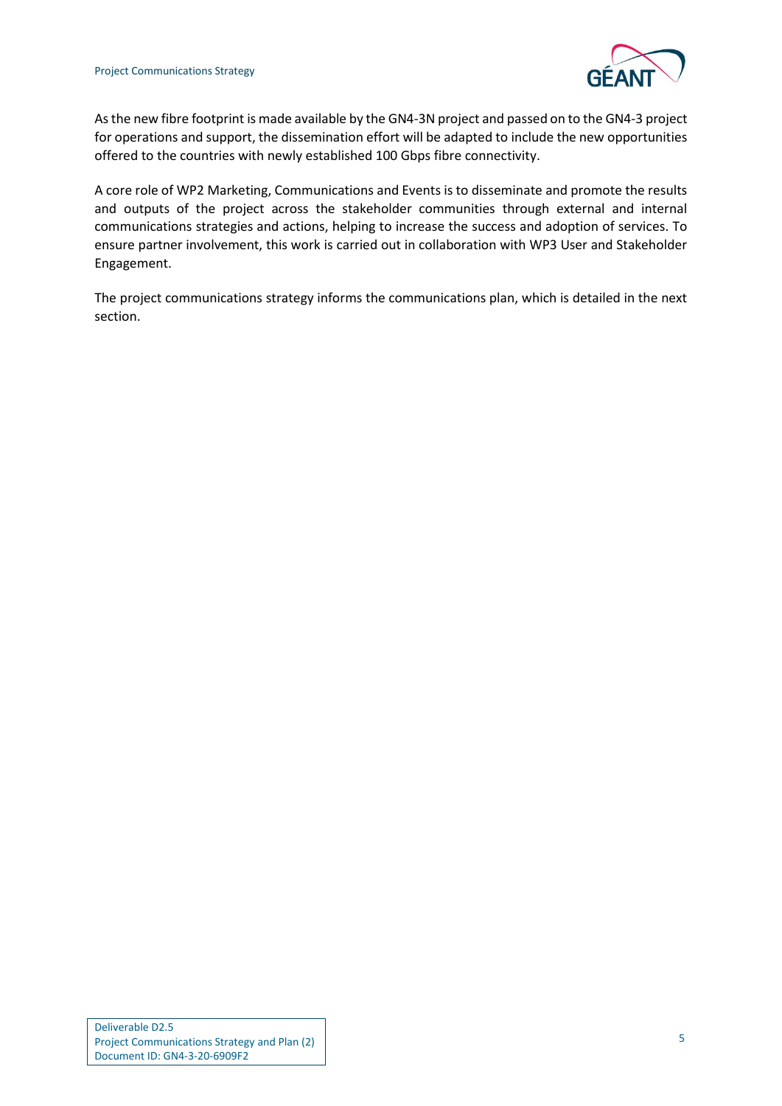

As the new fibre footprint is made available by the GN4-3N project and passed on to the GN4-3 project for operations and support, the dissemination effort will be adapted to include the new opportunities offered to the countries with newly established 100 Gbps fibre connectivity.

A core role of WP2 Marketing, Communications and Events is to disseminate and promote the results and outputs of the project across the stakeholder communities through external and internal communications strategies and actions, helping to increase the success and adoption of services. To ensure partner involvement, this work is carried out in collaboration with WP3 User and Stakeholder Engagement.

The project communications strategy informs the communications plan, which is detailed in the next section.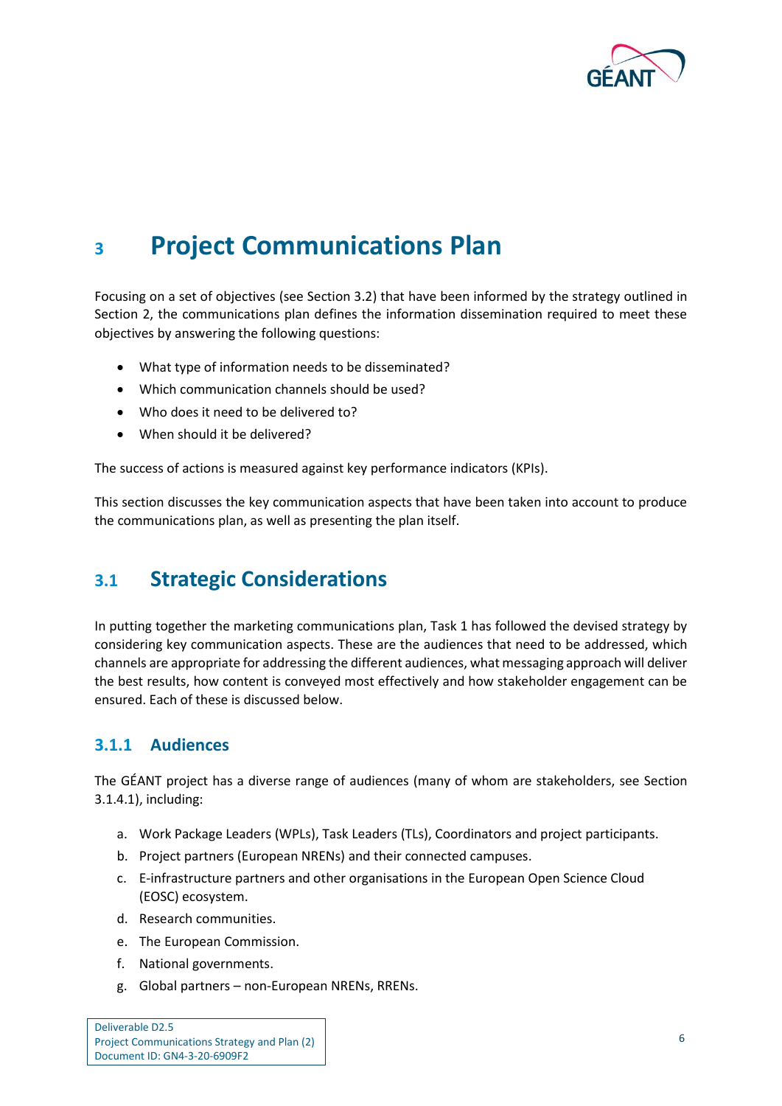

### <span id="page-7-3"></span><span id="page-7-0"></span>**<sup>3</sup> Project Communications Plan**

Focusing on a set of objectives (see Sectio[n 3.2\)](#page-13-0) that have been informed by the strategy outlined in Section [2,](#page-4-0) the communications plan defines the information dissemination required to meet these objectives by answering the following questions:

- What type of information needs to be disseminated?
- Which communication channels should be used?
- Who does it need to be delivered to?
- When should it be delivered?

The success of actions is measured against key performance indicators (KPIs).

This section discusses the key communication aspects that have been taken into account to produce the communications plan, as well as presenting the plan itself.

### <span id="page-7-1"></span>**3.1 Strategic Considerations**

In putting together the marketing communications plan, Task 1 has followed the devised strategy by considering key communication aspects. These are the audiences that need to be addressed, which channels are appropriate for addressing the different audiences, what messaging approach will deliver the best results, how content is conveyed most effectively and how stakeholder engagement can be ensured. Each of these is discussed below.

#### <span id="page-7-2"></span>**3.1.1 Audiences**

The GÉANT project has a diverse range of audiences (many of whom are stakeholders, see Section [3.1.4.1\)](#page-11-2), including:

- a. Work Package Leaders (WPLs), Task Leaders (TLs), Coordinators and project participants.
- b. Project partners (European NRENs) and their connected campuses.
- c. E-infrastructure partners and other organisations in the European Open Science Cloud (EOSC) ecosystem.
- d. Research communities.
- e. The European Commission.
- f. National governments.
- g. Global partners non-European NRENs, RRENs.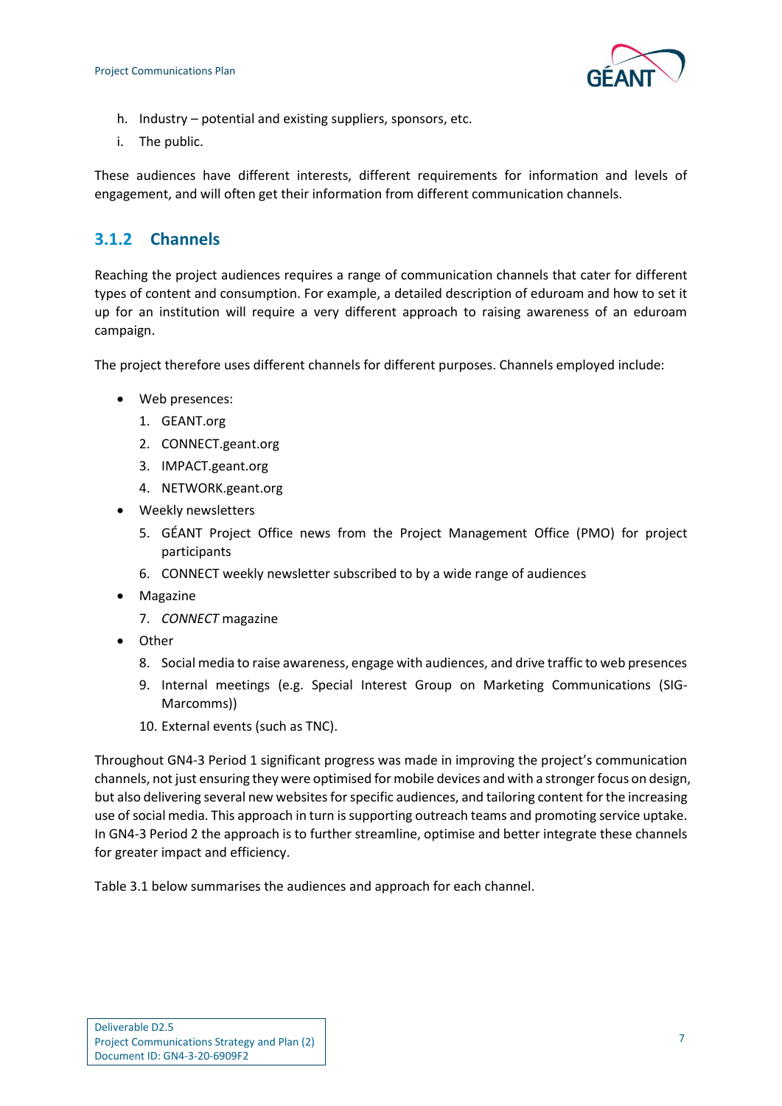

- h. Industry potential and existing suppliers, sponsors, etc.
- i. The public.

These audiences have different interests, different requirements for information and levels of engagement, and will often get their information from different communication channels.

### <span id="page-8-0"></span>**3.1.2 Channels**

Reaching the project audiences requires a range of communication channels that cater for different types of content and consumption. For example, a detailed description of eduroam and how to set it up for an institution will require a very different approach to raising awareness of an eduroam campaign.

The project therefore uses different channels for different purposes. Channels employed include:

- Web presences:
	- 1. GEANT.org
	- 2. CONNECT.geant.org
	- 3. IMPACT.geant.org
	- 4. NETWORK.geant.org
- Weekly newsletters
	- 5. GÉANT Project Office news from the Project Management Office (PMO) for project participants
	- 6. CONNECT weekly newsletter subscribed to by a wide range of audiences
- Magazine
	- 7. *CONNECT* magazine
- Other
	- 8. Social media to raise awareness, engage with audiences, and drive traffic to web presences
	- 9. Internal meetings (e.g. Special Interest Group on Marketing Communications (SIG-Marcomms))
	- 10. External events (such as TNC).

Throughout GN4-3 Period 1 significant progress was made in improving the project's communication channels, not just ensuring they were optimised for mobile devices and with a stronger focus on design, but also delivering several new websites for specific audiences, and tailoring content for the increasing use of social media. This approach in turn is supporting outreach teams and promoting service uptake. In GN4-3 Period 2 the approach is to further streamline, optimise and better integrate these channels for greater impact and efficiency.

[Table 3.1](#page-9-0) below summarises the audiences and approach for each channel.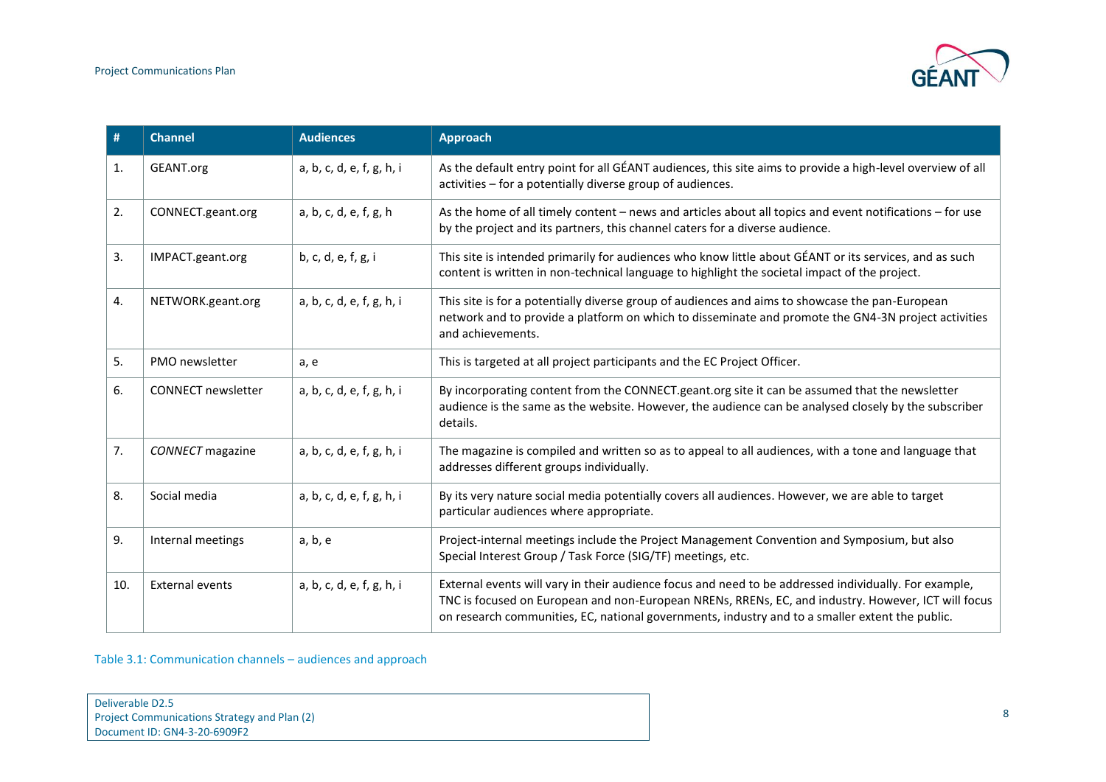

| #   | <b>Channel</b>            | <b>Audiences</b>          | <b>Approach</b>                                                                                                                                                                                                                                                                                                 |
|-----|---------------------------|---------------------------|-----------------------------------------------------------------------------------------------------------------------------------------------------------------------------------------------------------------------------------------------------------------------------------------------------------------|
| 1.  | GEANT.org                 | a, b, c, d, e, f, g, h, i | As the default entry point for all GÉANT audiences, this site aims to provide a high-level overview of all<br>activities - for a potentially diverse group of audiences.                                                                                                                                        |
| 2.  | CONNECT.geant.org         | a, b, c, d, e, f, g, h    | As the home of all timely content – news and articles about all topics and event notifications – for use<br>by the project and its partners, this channel caters for a diverse audience.                                                                                                                        |
| 3.  | IMPACT.geant.org          | b, c, d, e, f, g, i       | This site is intended primarily for audiences who know little about GÉANT or its services, and as such<br>content is written in non-technical language to highlight the societal impact of the project.                                                                                                         |
| 4.  | NETWORK.geant.org         | a, b, c, d, e, f, g, h, i | This site is for a potentially diverse group of audiences and aims to showcase the pan-European<br>network and to provide a platform on which to disseminate and promote the GN4-3N project activities<br>and achievements.                                                                                     |
| 5.  | PMO newsletter            | a, e                      | This is targeted at all project participants and the EC Project Officer.                                                                                                                                                                                                                                        |
| 6.  | <b>CONNECT</b> newsletter | a, b, c, d, e, f, g, h, i | By incorporating content from the CONNECT.geant.org site it can be assumed that the newsletter<br>audience is the same as the website. However, the audience can be analysed closely by the subscriber<br>details.                                                                                              |
| 7.  | <b>CONNECT</b> magazine   | a, b, c, d, e, f, g, h, i | The magazine is compiled and written so as to appeal to all audiences, with a tone and language that<br>addresses different groups individually.                                                                                                                                                                |
| 8.  | Social media              | a, b, c, d, e, f, g, h, i | By its very nature social media potentially covers all audiences. However, we are able to target<br>particular audiences where appropriate.                                                                                                                                                                     |
| 9.  | Internal meetings         | a, b, e                   | Project-internal meetings include the Project Management Convention and Symposium, but also<br>Special Interest Group / Task Force (SIG/TF) meetings, etc.                                                                                                                                                      |
| 10. | External events           | a, b, c, d, e, f, g, h, i | External events will vary in their audience focus and need to be addressed individually. For example,<br>TNC is focused on European and non-European NRENs, RRENs, EC, and industry. However, ICT will focus<br>on research communities, EC, national governments, industry and to a smaller extent the public. |

<span id="page-9-0"></span>Table 3.1: Communication channels – audiences and approach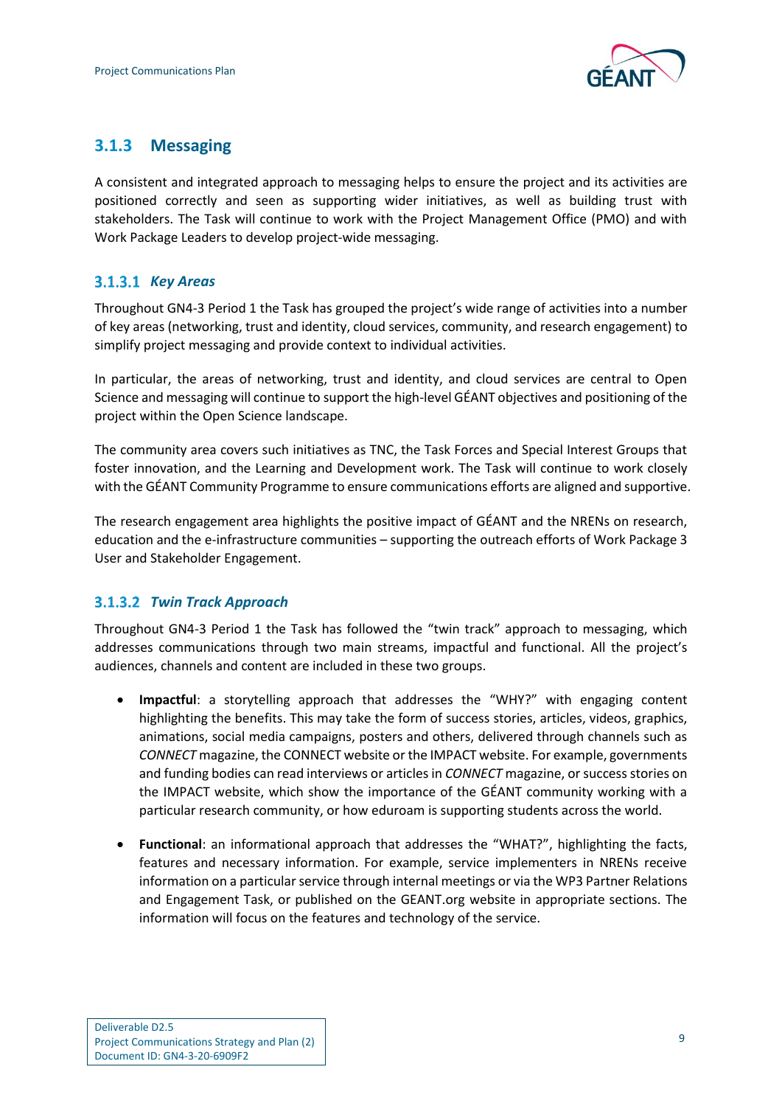

### <span id="page-10-0"></span>**3.1.3 Messaging**

A consistent and integrated approach to messaging helps to ensure the project and its activities are positioned correctly and seen as supporting wider initiatives, as well as building trust with stakeholders. The Task will continue to work with the Project Management Office (PMO) and with Work Package Leaders to develop project-wide messaging.

#### *Key Areas*

Throughout GN4-3 Period 1 the Task has grouped the project's wide range of activities into a number of key areas (networking, trust and identity, cloud services, community, and research engagement) to simplify project messaging and provide context to individual activities.

In particular, the areas of networking, trust and identity, and cloud services are central to Open Science and messaging will continue to support the high-level GÉANT objectives and positioning of the project within the Open Science landscape.

The community area covers such initiatives as TNC, the Task Forces and Special Interest Groups that foster innovation, and the Learning and Development work. The Task will continue to work closely with the GÉANT Community Programme to ensure communications efforts are aligned and supportive.

The research engagement area highlights the positive impact of GÉANT and the NRENs on research, education and the e-infrastructure communities – supporting the outreach efforts of Work Package 3 User and Stakeholder Engagement.

#### *Twin Track Approach*

Throughout GN4-3 Period 1 the Task has followed the "twin track" approach to messaging, which addresses communications through two main streams, impactful and functional. All the project's audiences, channels and content are included in these two groups.

- **Impactful**: a storytelling approach that addresses the "WHY?" with engaging content highlighting the benefits. This may take the form of success stories, articles, videos, graphics, animations, social media campaigns, posters and others, delivered through channels such as *CONNECT* magazine, the CONNECT website or the IMPACT website. For example, governments and funding bodies can read interviews or articles in *CONNECT* magazine, or success stories on the IMPACT website, which show the importance of the GÉANT community working with a particular research community, or how eduroam is supporting students across the world.
- **Functional**: an informational approach that addresses the "WHAT?", highlighting the facts, features and necessary information. For example, service implementers in NRENs receive information on a particular service through internal meetings or via the WP3 Partner Relations and Engagement Task, or published on the GEANT.org website in appropriate sections. The information will focus on the features and technology of the service.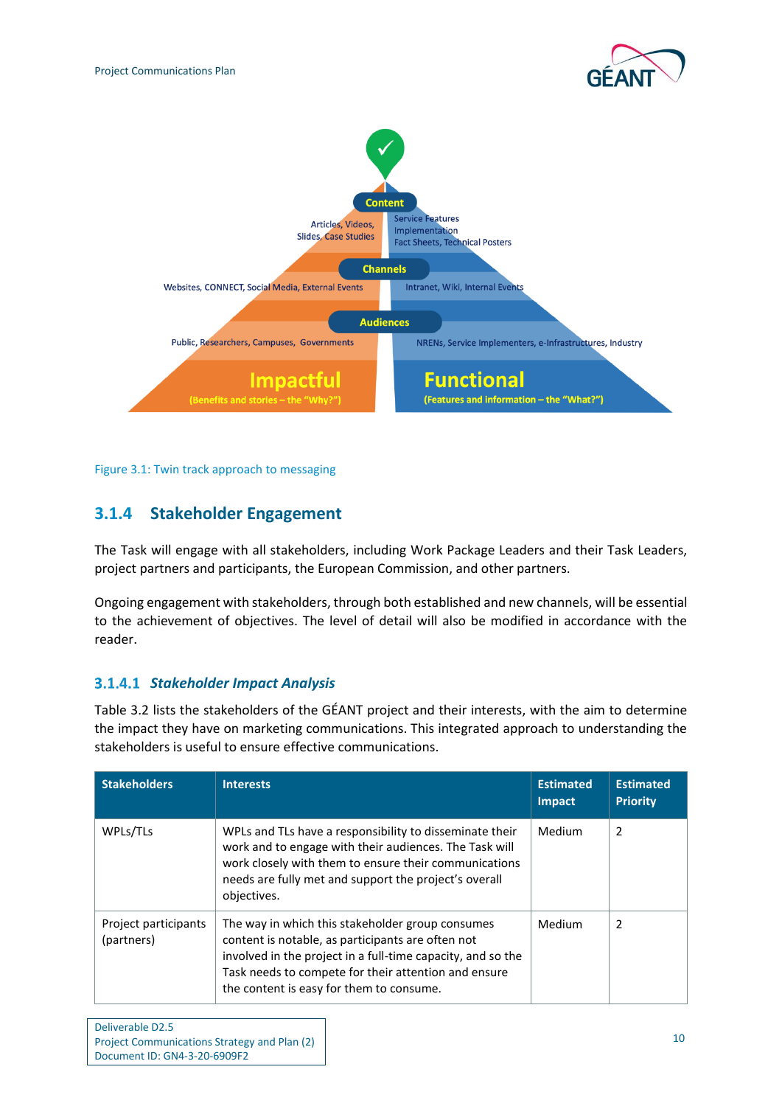



<span id="page-11-1"></span>Figure 3.1: Twin track approach to messaging

### <span id="page-11-0"></span>**3.1.4 Stakeholder Engagement**

The Task will engage with all stakeholders, including Work Package Leaders and their Task Leaders, project partners and participants, the European Commission, and other partners.

Ongoing engagement with stakeholders, through both established and new channels, will be essential to the achievement of objectives. The level of detail will also be modified in accordance with the reader.

#### <span id="page-11-2"></span>*Stakeholder Impact Analysis*

[Table 3.2](#page-12-0) lists the stakeholders of the GÉANT project and their interests, with the aim to determine the impact they have on marketing communications. This integrated approach to understanding the stakeholders is useful to ensure effective communications.

| <b>Stakeholders</b>                | <b>Interests</b>                                                                                                                                                                                                                                                         | <b>Estimated</b><br>Impact | <b>Estimated</b><br><b>Priority</b> |
|------------------------------------|--------------------------------------------------------------------------------------------------------------------------------------------------------------------------------------------------------------------------------------------------------------------------|----------------------------|-------------------------------------|
| WPLs/TLs                           | WPLs and TLs have a responsibility to disseminate their<br>work and to engage with their audiences. The Task will<br>work closely with them to ensure their communications<br>needs are fully met and support the project's overall<br>objectives.                       | Medium                     | 2                                   |
| Project participants<br>(partners) | The way in which this stakeholder group consumes<br>content is notable, as participants are often not<br>involved in the project in a full-time capacity, and so the<br>Task needs to compete for their attention and ensure<br>the content is easy for them to consume. | Medium                     | 2                                   |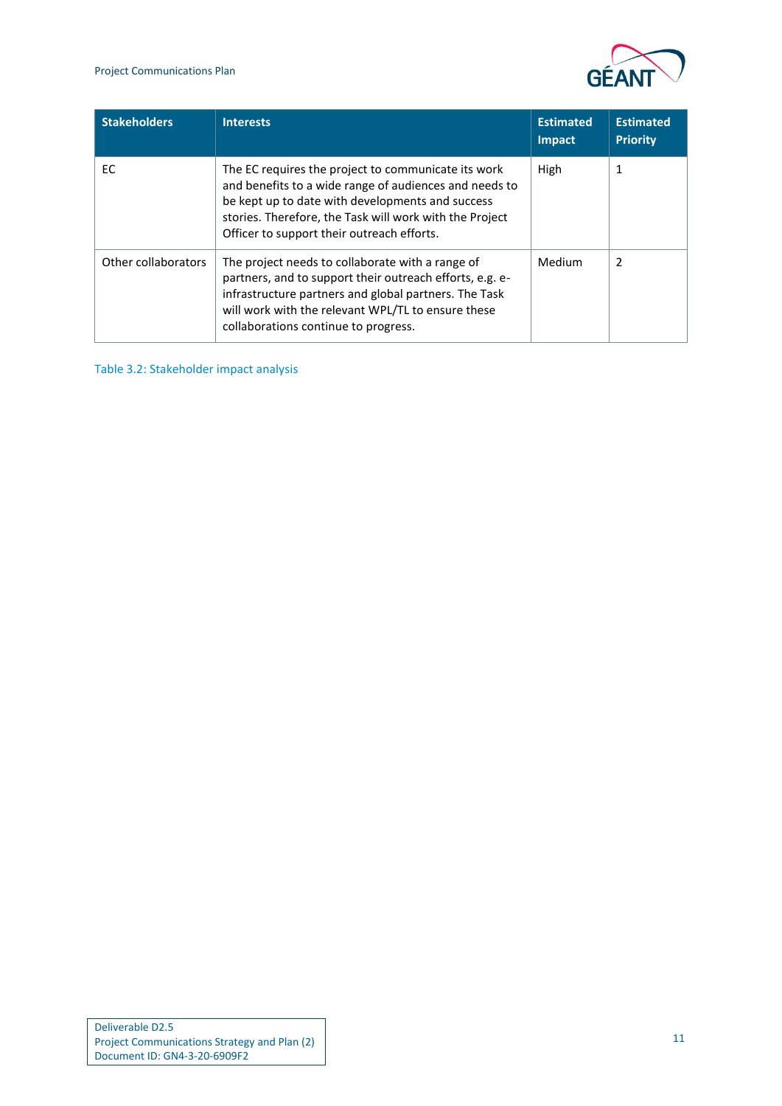

| <b>Stakeholders</b> | <b>Interests</b>                                                                                                                                                                                                                                                           | <b>Estimated</b><br><b>Impact</b> | <b>Estimated</b><br><b>Priority</b> |
|---------------------|----------------------------------------------------------------------------------------------------------------------------------------------------------------------------------------------------------------------------------------------------------------------------|-----------------------------------|-------------------------------------|
| EC.                 | The EC requires the project to communicate its work<br>and benefits to a wide range of audiences and needs to<br>be kept up to date with developments and success<br>stories. Therefore, the Task will work with the Project<br>Officer to support their outreach efforts. | High                              | 1                                   |
| Other collaborators | The project needs to collaborate with a range of<br>partners, and to support their outreach efforts, e.g. e-<br>infrastructure partners and global partners. The Task<br>will work with the relevant WPL/TL to ensure these<br>collaborations continue to progress.        | Medium                            | 2                                   |

<span id="page-12-0"></span>Table 3.2: Stakeholder impact analysis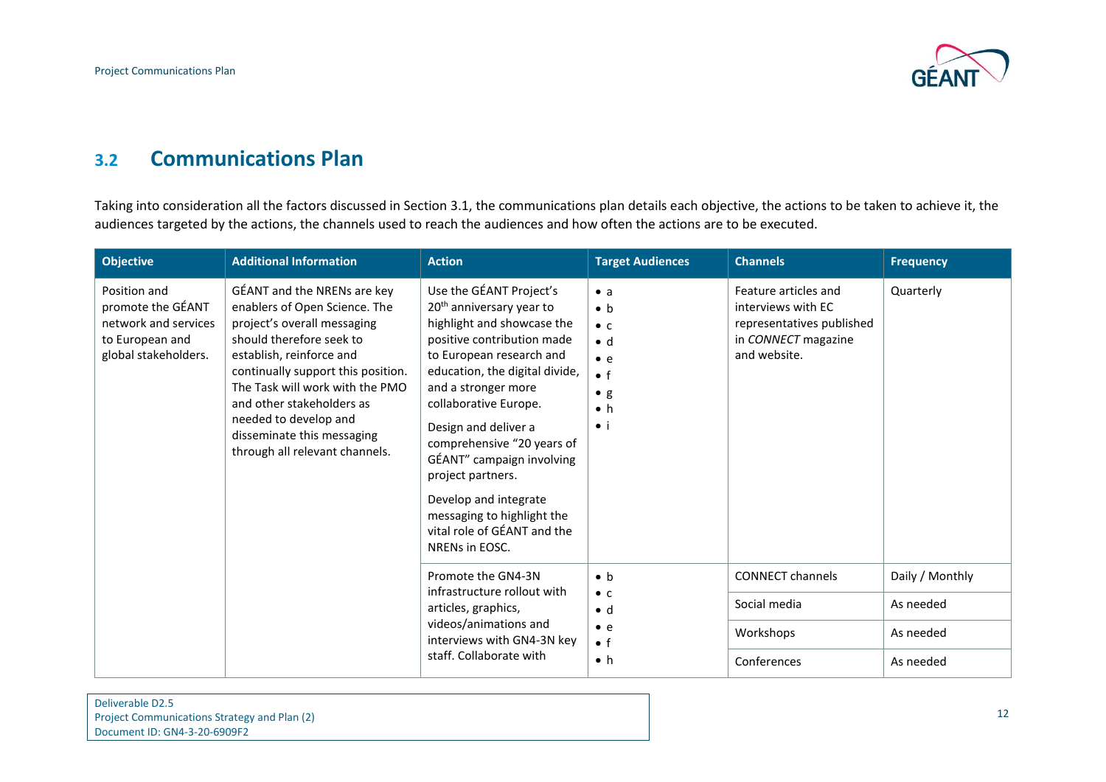

### **3.2 Communications Plan**

Taking into consideration all the factors discussed in Section [3.1,](#page-7-3) the communications plan details each objective, the actions to be taken to achieve it, the audiences targeted by the actions, the channels used to reach the audiences and how often the actions are to be executed.

<span id="page-13-0"></span>

| <b>Objective</b>                                                                                     | <b>Additional Information</b>                                                                                                                                                                                                                                                                                                                      | <b>Action</b>                                                                                                                                                                                                                                                                                                                                                                                                                                             | <b>Target Audiences</b>                                                                                                             | <b>Channels</b>                                                                                                | <b>Frequency</b> |
|------------------------------------------------------------------------------------------------------|----------------------------------------------------------------------------------------------------------------------------------------------------------------------------------------------------------------------------------------------------------------------------------------------------------------------------------------------------|-----------------------------------------------------------------------------------------------------------------------------------------------------------------------------------------------------------------------------------------------------------------------------------------------------------------------------------------------------------------------------------------------------------------------------------------------------------|-------------------------------------------------------------------------------------------------------------------------------------|----------------------------------------------------------------------------------------------------------------|------------------|
| Position and<br>promote the GÉANT<br>network and services<br>to European and<br>global stakeholders. | GÉANT and the NRENs are key<br>enablers of Open Science. The<br>project's overall messaging<br>should therefore seek to<br>establish, reinforce and<br>continually support this position.<br>The Task will work with the PMO<br>and other stakeholders as<br>needed to develop and<br>disseminate this messaging<br>through all relevant channels. | Use the GÉANT Project's<br>20 <sup>th</sup> anniversary year to<br>highlight and showcase the<br>positive contribution made<br>to European research and<br>education, the digital divide,<br>and a stronger more<br>collaborative Europe.<br>Design and deliver a<br>comprehensive "20 years of<br>GÉANT" campaign involving<br>project partners.<br>Develop and integrate<br>messaging to highlight the<br>vital role of GÉANT and the<br>NRENs in EOSC. | $\bullet$ a<br>$\bullet$ h<br>$\bullet$ C<br>$h \bullet$<br>$\bullet$ e<br>$\bullet$ f<br>$\bullet$ g<br>$\bullet$ h<br>$\bullet$ i | Feature articles and<br>interviews with EC<br>representatives published<br>in CONNECT magazine<br>and website. | Quarterly        |
|                                                                                                      |                                                                                                                                                                                                                                                                                                                                                    | Promote the GN4-3N<br>infrastructure rollout with<br>articles, graphics,<br>videos/animations and<br>interviews with GN4-3N key<br>staff. Collaborate with                                                                                                                                                                                                                                                                                                | $\bullet$ b<br>$\bullet$ C<br>$\bullet$ d<br>$\bullet$ e<br>$\bullet$ f<br>$\bullet$ h                                              | <b>CONNECT channels</b>                                                                                        | Daily / Monthly  |
|                                                                                                      |                                                                                                                                                                                                                                                                                                                                                    |                                                                                                                                                                                                                                                                                                                                                                                                                                                           |                                                                                                                                     | Social media                                                                                                   | As needed        |
|                                                                                                      |                                                                                                                                                                                                                                                                                                                                                    |                                                                                                                                                                                                                                                                                                                                                                                                                                                           |                                                                                                                                     | Workshops                                                                                                      | As needed        |
|                                                                                                      |                                                                                                                                                                                                                                                                                                                                                    |                                                                                                                                                                                                                                                                                                                                                                                                                                                           |                                                                                                                                     | Conferences                                                                                                    | As needed        |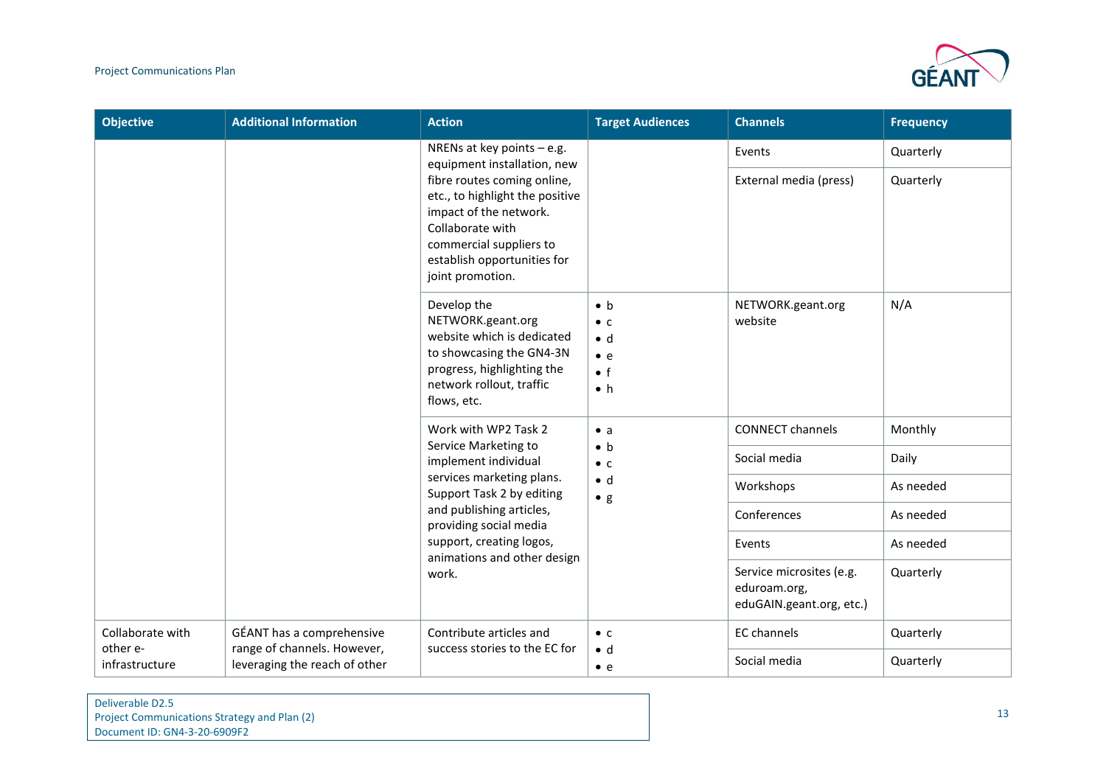

| <b>Objective</b>             | <b>Additional Information</b>                                                                                                                                                                                                                             | <b>Action</b>                                                                                                                                                       | <b>Target Audiences</b>                                                                | <b>Channels</b>                                                      | <b>Frequency</b> |
|------------------------------|-----------------------------------------------------------------------------------------------------------------------------------------------------------------------------------------------------------------------------------------------------------|---------------------------------------------------------------------------------------------------------------------------------------------------------------------|----------------------------------------------------------------------------------------|----------------------------------------------------------------------|------------------|
|                              | NRENs at key points $-$ e.g.<br>equipment installation, new<br>fibre routes coming online,<br>etc., to highlight the positive<br>impact of the network.<br>Collaborate with<br>commercial suppliers to<br>establish opportunities for<br>joint promotion. |                                                                                                                                                                     | Events<br>External media (press)                                                       | Quarterly<br>Quarterly                                               |                  |
|                              |                                                                                                                                                                                                                                                           | Develop the<br>NETWORK.geant.org<br>website which is dedicated<br>to showcasing the GN4-3N<br>progress, highlighting the<br>network rollout, traffic<br>flows, etc. | $\bullet$ b<br>$\bullet$ C<br>$\bullet$ d<br>$\bullet$ e<br>$\bullet$ f<br>$\bullet$ h | NETWORK.geant.org<br>website                                         | N/A              |
|                              |                                                                                                                                                                                                                                                           | Work with WP2 Task 2<br>Service Marketing to<br>implement individual                                                                                                | $\bullet$ a<br>$\bullet$ b<br>$\bullet$ C<br>$\bullet$ d<br>$\bullet$ g                | <b>CONNECT channels</b>                                              | Monthly          |
|                              |                                                                                                                                                                                                                                                           |                                                                                                                                                                     |                                                                                        | Social media                                                         | Daily            |
|                              |                                                                                                                                                                                                                                                           | services marketing plans.<br>Support Task 2 by editing                                                                                                              |                                                                                        | Workshops                                                            | As needed        |
|                              |                                                                                                                                                                                                                                                           | and publishing articles,<br>providing social media                                                                                                                  |                                                                                        | Conferences                                                          | As needed        |
|                              |                                                                                                                                                                                                                                                           | support, creating logos,<br>animations and other design                                                                                                             |                                                                                        | Events                                                               | As needed        |
|                              |                                                                                                                                                                                                                                                           | work.                                                                                                                                                               |                                                                                        | Service microsites (e.g.<br>eduroam.org,<br>eduGAIN.geant.org, etc.) | Quarterly        |
| Collaborate with<br>other e- | GÉANT has a comprehensive                                                                                                                                                                                                                                 | Contribute articles and<br>success stories to the EC for                                                                                                            | $\bullet$ C                                                                            | <b>EC</b> channels                                                   | Quarterly        |
| infrastructure               | range of channels. However,<br>leveraging the reach of other                                                                                                                                                                                              |                                                                                                                                                                     | $\bullet$ d<br>$\bullet$ e                                                             | Social media                                                         | Quarterly        |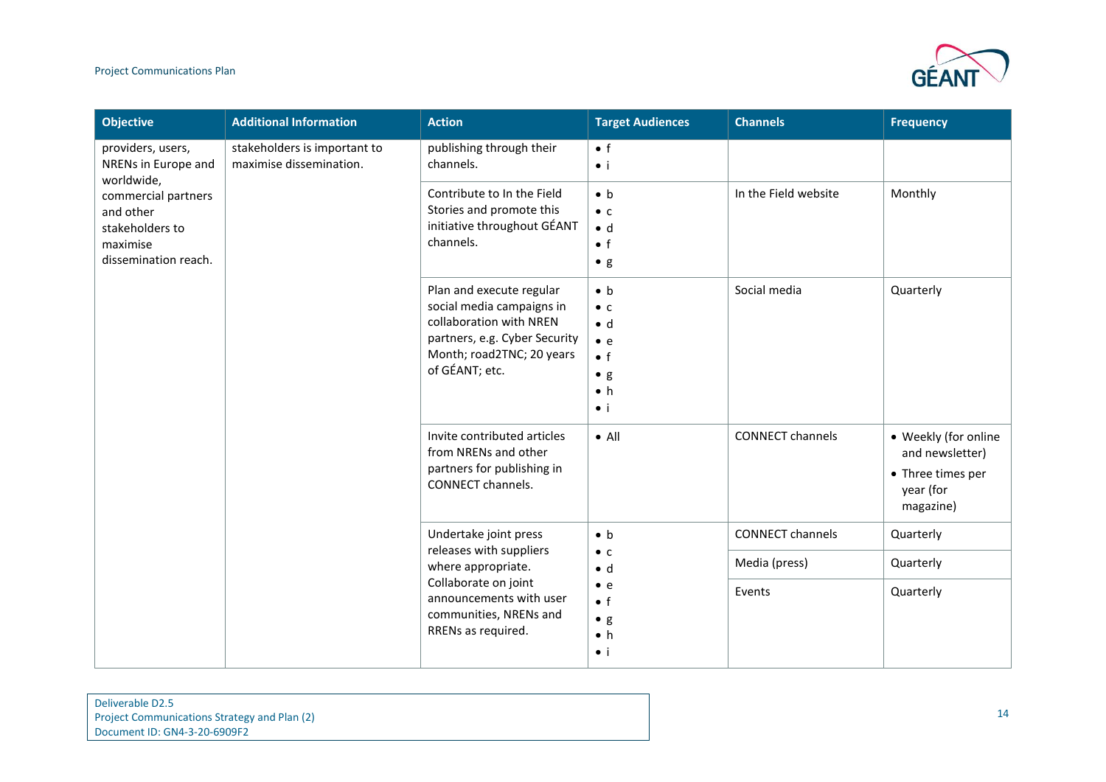#### Project Communications Plan



| <b>Objective</b>                                                                        | <b>Additional Information</b>                           | <b>Action</b>                                                                                                                                                    | <b>Target Audiences</b>                                                                                              | <b>Channels</b>         | <b>Frequency</b>                                                                       |
|-----------------------------------------------------------------------------------------|---------------------------------------------------------|------------------------------------------------------------------------------------------------------------------------------------------------------------------|----------------------------------------------------------------------------------------------------------------------|-------------------------|----------------------------------------------------------------------------------------|
| providers, users,<br>NRENs in Europe and<br>worldwide,                                  | stakeholders is important to<br>maximise dissemination. | publishing through their<br>channels.                                                                                                                            | $\bullet$ f<br>$\bullet$ i                                                                                           |                         |                                                                                        |
| commercial partners<br>and other<br>stakeholders to<br>maximise<br>dissemination reach. |                                                         | Contribute to In the Field<br>Stories and promote this<br>initiative throughout GÉANT<br>channels.                                                               | $\bullet$ b<br>$\bullet$ C<br>$\bullet$ d<br>$\bullet$ f<br>$\bullet$ g                                              | In the Field website    | Monthly                                                                                |
|                                                                                         |                                                         | Plan and execute regular<br>social media campaigns in<br>collaboration with NREN<br>partners, e.g. Cyber Security<br>Month; road2TNC; 20 years<br>of GÉANT; etc. | $\bullet$ b<br>$\bullet$ C<br>$\bullet$ d<br>$\bullet$ e<br>$\bullet$ f<br>$\bullet$ g<br>$\bullet$ h<br>$\bullet$ i | Social media            | Quarterly                                                                              |
|                                                                                         |                                                         | Invite contributed articles<br>from NRENs and other<br>partners for publishing in<br><b>CONNECT channels.</b>                                                    | $\bullet$ All                                                                                                        | <b>CONNECT channels</b> | • Weekly (for online<br>and newsletter)<br>• Three times per<br>year (for<br>magazine) |
|                                                                                         |                                                         | Undertake joint press<br>releases with suppliers                                                                                                                 | $\bullet$ b                                                                                                          | <b>CONNECT channels</b> | Quarterly                                                                              |
|                                                                                         |                                                         | where appropriate.                                                                                                                                               | $\bullet$ C<br>$\bullet$ d                                                                                           | Media (press)           | Quarterly                                                                              |
|                                                                                         |                                                         | Collaborate on joint<br>announcements with user<br>communities, NRENs and<br>RRENs as required.                                                                  | $\bullet$ e<br>$\bullet$ f<br>$\bullet$ g<br>$\bullet$ h<br>$\bullet$ i                                              | Events                  | Quarterly                                                                              |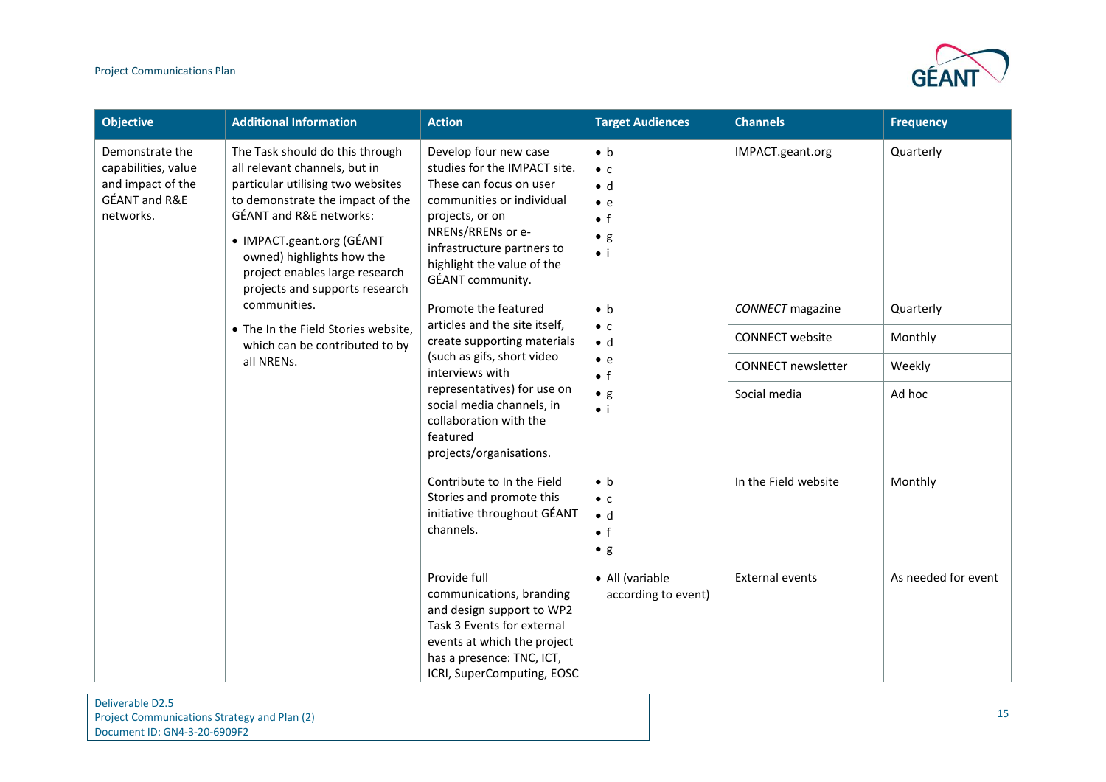

| <b>Objective</b>                                                                                                                                                                                                                                                                                                                                                                                                      | <b>Additional Information</b>                                                                                                                                                                                                         | <b>Action</b>                                                                                                                                                                                 | <b>Target Audiences</b>                                                 | <b>Channels</b>         | <b>Frequency</b>    |
|-----------------------------------------------------------------------------------------------------------------------------------------------------------------------------------------------------------------------------------------------------------------------------------------------------------------------------------------------------------------------------------------------------------------------|---------------------------------------------------------------------------------------------------------------------------------------------------------------------------------------------------------------------------------------|-----------------------------------------------------------------------------------------------------------------------------------------------------------------------------------------------|-------------------------------------------------------------------------|-------------------------|---------------------|
| Demonstrate the<br>The Task should do this through<br>capabilities, value<br>all relevant channels, but in<br>particular utilising two websites<br>and impact of the<br><b>GÉANT and R&amp;E</b><br>to demonstrate the impact of the<br><b>GÉANT and R&amp;E networks:</b><br>networks.<br>• IMPACT.geant.org (GÉANT<br>owned) highlights how the<br>project enables large research<br>projects and supports research | Develop four new case<br>studies for the IMPACT site.<br>These can focus on user<br>communities or individual<br>projects, or on<br>NRENs/RRENs or e-<br>infrastructure partners to<br>highlight the value of the<br>GÉANT community. | $\bullet$ b<br>$\bullet$ C<br>$\bullet$ d<br>$\bullet$ e<br>$\bullet$ f<br>$\bullet$ g<br>$\bullet$ i                                                                                         | IMPACT.geant.org                                                        | Quarterly               |                     |
|                                                                                                                                                                                                                                                                                                                                                                                                                       | communities.<br>• The In the Field Stories website,                                                                                                                                                                                   | Promote the featured<br>articles and the site itself,                                                                                                                                         | $\bullet$ b<br>$\bullet$ C                                              | <b>CONNECT</b> magazine | Quarterly           |
| which can be contributed to by<br>all NRENs.                                                                                                                                                                                                                                                                                                                                                                          | create supporting materials<br>(such as gifs, short video<br>interviews with                                                                                                                                                          | $\bullet$ d<br>$\bullet$ e<br>$\bullet$ f                                                                                                                                                     | <b>CONNECT</b> website<br><b>CONNECT newsletter</b>                     | Monthly<br>Weekly       |                     |
|                                                                                                                                                                                                                                                                                                                                                                                                                       |                                                                                                                                                                                                                                       | representatives) for use on<br>social media channels, in<br>collaboration with the<br>featured<br>projects/organisations.                                                                     | $\bullet$ g<br>$\bullet$ i                                              | Social media            | Ad hoc              |
|                                                                                                                                                                                                                                                                                                                                                                                                                       |                                                                                                                                                                                                                                       | Contribute to In the Field<br>Stories and promote this<br>initiative throughout GÉANT<br>channels.                                                                                            | $\bullet$ b<br>$\bullet$ C<br>$\bullet$ d<br>$\bullet$ f<br>$\bullet$ g | In the Field website    | Monthly             |
|                                                                                                                                                                                                                                                                                                                                                                                                                       |                                                                                                                                                                                                                                       | Provide full<br>communications, branding<br>and design support to WP2<br>Task 3 Events for external<br>events at which the project<br>has a presence: TNC, ICT,<br>ICRI, SuperComputing, EOSC | • All (variable<br>according to event)                                  | <b>External events</b>  | As needed for event |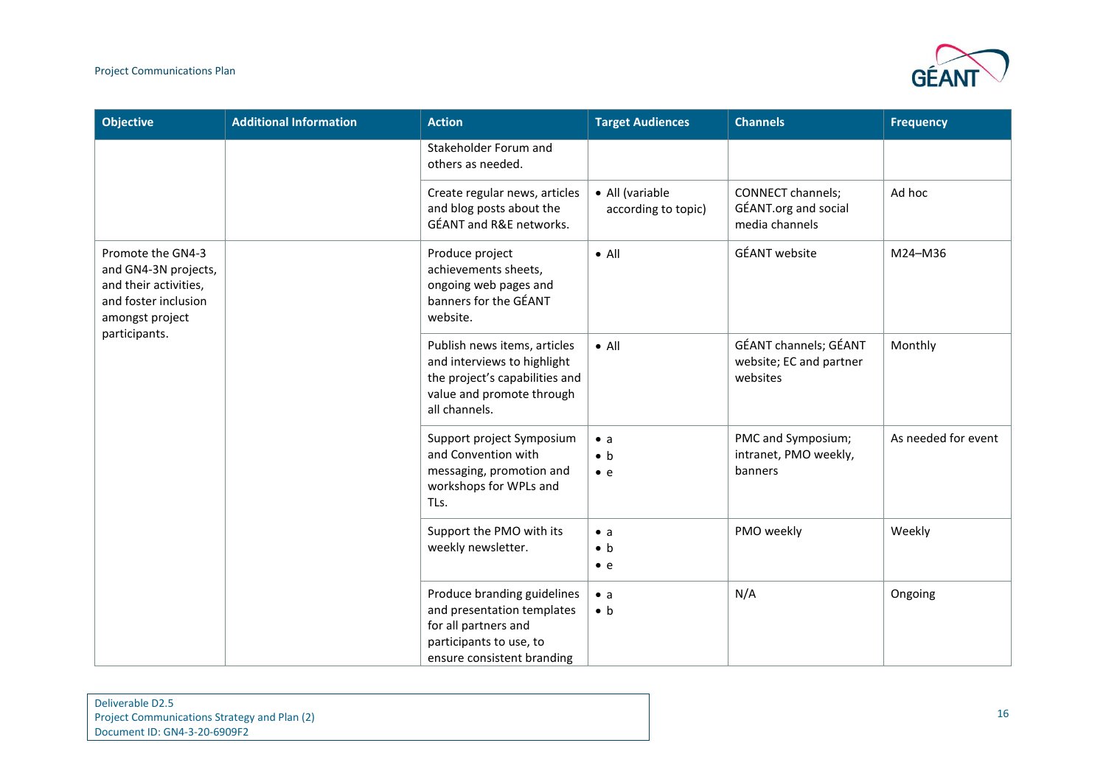#### Project Communications Plan



| <b>Objective</b>                                                                                              | <b>Additional Information</b> | <b>Action</b>                                                                                                                               | <b>Target Audiences</b>                   | <b>Channels</b>                                                    | <b>Frequency</b>    |
|---------------------------------------------------------------------------------------------------------------|-------------------------------|---------------------------------------------------------------------------------------------------------------------------------------------|-------------------------------------------|--------------------------------------------------------------------|---------------------|
|                                                                                                               |                               | Stakeholder Forum and<br>others as needed.                                                                                                  |                                           |                                                                    |                     |
|                                                                                                               |                               | Create regular news, articles<br>and blog posts about the<br>GÉANT and R&E networks.                                                        | • All (variable<br>according to topic)    | <b>CONNECT channels;</b><br>GÉANT.org and social<br>media channels | Ad hoc              |
| Promote the GN4-3<br>and GN4-3N projects,<br>and their activities,<br>and foster inclusion<br>amongst project |                               | Produce project<br>achievements sheets,<br>ongoing web pages and<br>banners for the GÉANT<br>website.                                       | $\bullet$ All                             | <b>GÉANT</b> website                                               | M24-M36             |
| participants.                                                                                                 |                               | Publish news items, articles<br>and interviews to highlight<br>the project's capabilities and<br>value and promote through<br>all channels. | $\bullet$ All                             | GÉANT channels; GÉANT<br>website; EC and partner<br>websites       | Monthly             |
|                                                                                                               |                               | Support project Symposium<br>and Convention with<br>messaging, promotion and<br>workshops for WPLs and<br>TLs.                              | $\bullet$ a<br>$\bullet$ h<br>$\bullet$ e | PMC and Symposium;<br>intranet, PMO weekly,<br>banners             | As needed for event |
|                                                                                                               |                               | Support the PMO with its<br>weekly newsletter.                                                                                              | $\bullet$ a<br>$\bullet$ b<br>$\bullet$ e | PMO weekly                                                         | Weekly              |
|                                                                                                               |                               | Produce branding guidelines<br>and presentation templates<br>for all partners and<br>participants to use, to<br>ensure consistent branding  | $\bullet$ a<br>$\bullet$ b                | N/A                                                                | Ongoing             |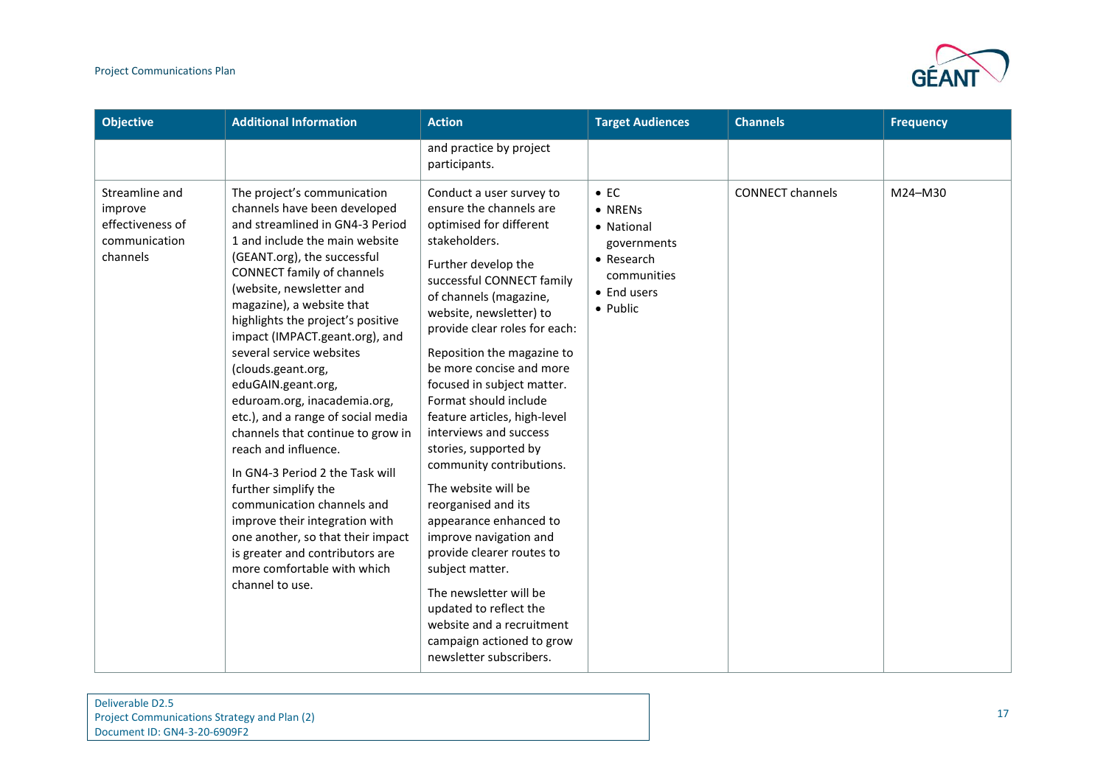

| <b>Objective</b>                                                           | <b>Additional Information</b>                                                                                                                                                                                                                                                                                                                                                                                                                                                                                                                                                                                                                                                                                                                                                                 | <b>Action</b>                                                                                                                                                                                                                                                                                                                                                                                                                                                                                                                                                                                                                                                                                                                                                        | <b>Target Audiences</b>                                                                                      | <b>Channels</b>         | <b>Frequency</b> |
|----------------------------------------------------------------------------|-----------------------------------------------------------------------------------------------------------------------------------------------------------------------------------------------------------------------------------------------------------------------------------------------------------------------------------------------------------------------------------------------------------------------------------------------------------------------------------------------------------------------------------------------------------------------------------------------------------------------------------------------------------------------------------------------------------------------------------------------------------------------------------------------|----------------------------------------------------------------------------------------------------------------------------------------------------------------------------------------------------------------------------------------------------------------------------------------------------------------------------------------------------------------------------------------------------------------------------------------------------------------------------------------------------------------------------------------------------------------------------------------------------------------------------------------------------------------------------------------------------------------------------------------------------------------------|--------------------------------------------------------------------------------------------------------------|-------------------------|------------------|
|                                                                            |                                                                                                                                                                                                                                                                                                                                                                                                                                                                                                                                                                                                                                                                                                                                                                                               | and practice by project<br>participants.                                                                                                                                                                                                                                                                                                                                                                                                                                                                                                                                                                                                                                                                                                                             |                                                                                                              |                         |                  |
| Streamline and<br>improve<br>effectiveness of<br>communication<br>channels | The project's communication<br>channels have been developed<br>and streamlined in GN4-3 Period<br>1 and include the main website<br>(GEANT.org), the successful<br>CONNECT family of channels<br>(website, newsletter and<br>magazine), a website that<br>highlights the project's positive<br>impact (IMPACT.geant.org), and<br>several service websites<br>(clouds.geant.org,<br>eduGAIN.geant.org,<br>eduroam.org, inacademia.org,<br>etc.), and a range of social media<br>channels that continue to grow in<br>reach and influence.<br>In GN4-3 Period 2 the Task will<br>further simplify the<br>communication channels and<br>improve their integration with<br>one another, so that their impact<br>is greater and contributors are<br>more comfortable with which<br>channel to use. | Conduct a user survey to<br>ensure the channels are<br>optimised for different<br>stakeholders.<br>Further develop the<br>successful CONNECT family<br>of channels (magazine,<br>website, newsletter) to<br>provide clear roles for each:<br>Reposition the magazine to<br>be more concise and more<br>focused in subject matter.<br>Format should include<br>feature articles, high-level<br>interviews and success<br>stories, supported by<br>community contributions.<br>The website will be<br>reorganised and its<br>appearance enhanced to<br>improve navigation and<br>provide clearer routes to<br>subject matter.<br>The newsletter will be<br>updated to reflect the<br>website and a recruitment<br>campaign actioned to grow<br>newsletter subscribers. | $\bullet$ EC<br>• NRENs<br>• National<br>governments<br>• Research<br>communities<br>• End users<br>• Public | <b>CONNECT channels</b> | M24-M30          |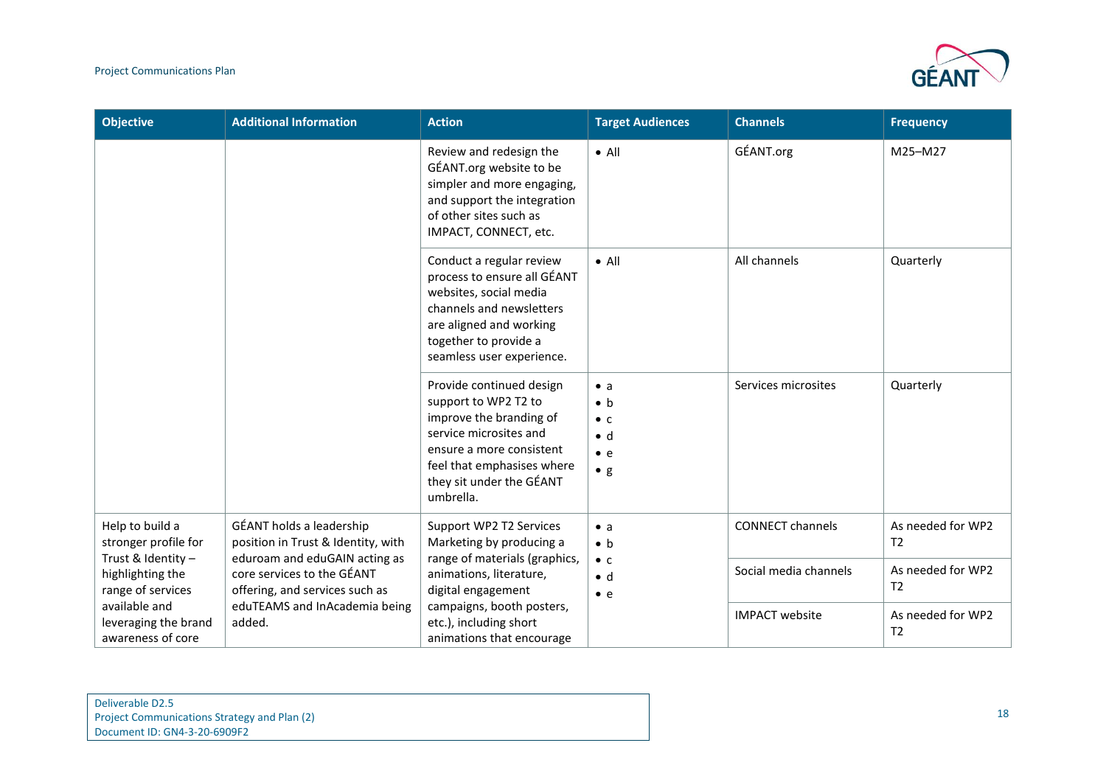

| <b>Objective</b>                                                                                                                                                                                                                                                                                                                                                                   | <b>Additional Information</b>                                                                                   | <b>Action</b>                                                                                                                                                                                            | <b>Target Audiences</b>                                                                | <b>Channels</b>                                          | <b>Frequency</b>                                      |
|------------------------------------------------------------------------------------------------------------------------------------------------------------------------------------------------------------------------------------------------------------------------------------------------------------------------------------------------------------------------------------|-----------------------------------------------------------------------------------------------------------------|----------------------------------------------------------------------------------------------------------------------------------------------------------------------------------------------------------|----------------------------------------------------------------------------------------|----------------------------------------------------------|-------------------------------------------------------|
|                                                                                                                                                                                                                                                                                                                                                                                    |                                                                                                                 | Review and redesign the<br>GÉANT.org website to be<br>simpler and more engaging,<br>and support the integration<br>of other sites such as<br>IMPACT, CONNECT, etc.                                       | $\bullet$ All                                                                          | GÉANT.org                                                | M25-M27                                               |
|                                                                                                                                                                                                                                                                                                                                                                                    |                                                                                                                 | Conduct a regular review<br>process to ensure all GÉANT<br>websites, social media<br>channels and newsletters<br>are aligned and working<br>together to provide a<br>seamless user experience.           | $\bullet$ All                                                                          | All channels                                             | Quarterly                                             |
|                                                                                                                                                                                                                                                                                                                                                                                    |                                                                                                                 | Provide continued design<br>support to WP2 T2 to<br>improve the branding of<br>service microsites and<br>ensure a more consistent<br>feel that emphasises where<br>they sit under the GÉANT<br>umbrella. | $\bullet$ a<br>$\bullet$ b<br>$\bullet$ C<br>$\bullet$ d<br>$\bullet$ e<br>$\bullet$ g | Services microsites                                      | Quarterly                                             |
| GÉANT holds a leadership<br>Help to build a<br>position in Trust & Identity, with<br>stronger profile for<br>Trust & Identity -<br>eduroam and eduGAIN acting as<br>core services to the GÉANT<br>highlighting the<br>range of services<br>offering, and services such as<br>available and<br>eduTEAMS and InAcademia being<br>leveraging the brand<br>added.<br>awareness of core | Support WP2 T2 Services<br>Marketing by producing a<br>range of materials (graphics,<br>animations, literature, | $\bullet$ a<br>$\bullet$ b<br>$\bullet$ C<br>$\bullet$ d                                                                                                                                                 | <b>CONNECT channels</b><br>Social media channels                                       | As needed for WP2<br>T <sub>2</sub><br>As needed for WP2 |                                                       |
|                                                                                                                                                                                                                                                                                                                                                                                    |                                                                                                                 | digital engagement<br>campaigns, booth posters,<br>etc.), including short<br>animations that encourage                                                                                                   | $\bullet$ e                                                                            | <b>IMPACT</b> website                                    | T <sub>2</sub><br>As needed for WP2<br>T <sub>2</sub> |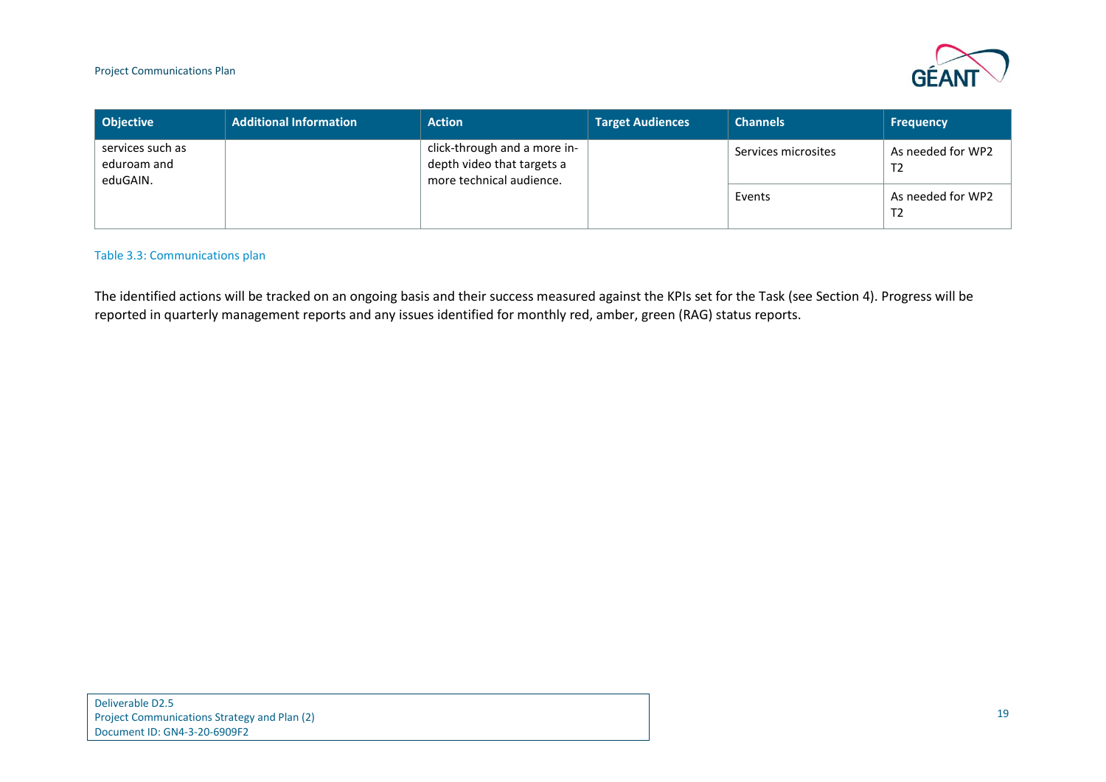

| <b>Objective</b>                            | <b>Additional Information</b> | <b>Action</b>                                                                          | <b>Target Audiences</b> | <b>Channels</b>     | <b>Frequency</b>                    |
|---------------------------------------------|-------------------------------|----------------------------------------------------------------------------------------|-------------------------|---------------------|-------------------------------------|
| services such as<br>eduroam and<br>eduGAIN. |                               | click-through and a more in-<br>depth video that targets a<br>more technical audience. |                         | Services microsites | As needed for WP2<br>T <sub>2</sub> |
|                                             |                               |                                                                                        |                         | Events              | As needed for WP2<br>T <sub>2</sub> |

#### Table 3.3: Communications plan

<span id="page-20-0"></span>The identified actions will be tracked on an ongoing basis and their success measured against the KPIs set for the Task (see Section [4\)](#page-21-1). Progress will be reported in quarterly management reports and any issues identified for monthly red, amber, green (RAG) status reports.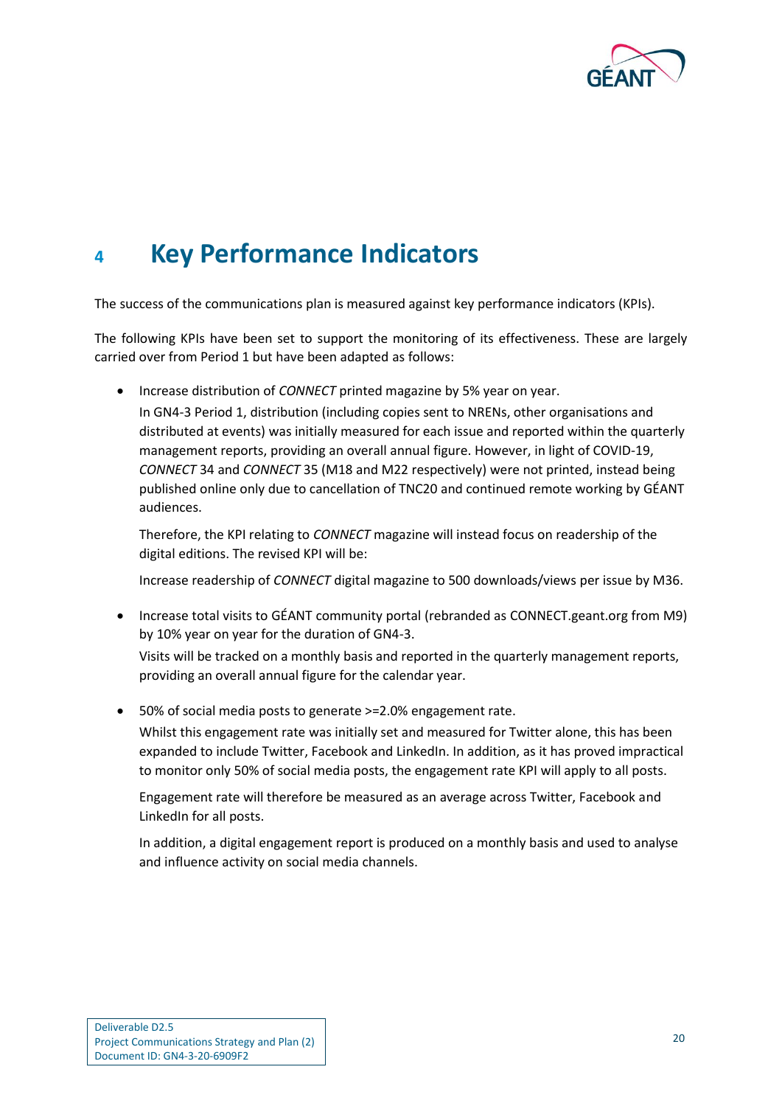

### <span id="page-21-1"></span><span id="page-21-0"></span>**<sup>4</sup> Key Performance Indicators**

The success of the communications plan is measured against key performance indicators (KPIs).

The following KPIs have been set to support the monitoring of its effectiveness. These are largely carried over from Period 1 but have been adapted as follows:

• Increase distribution of *CONNECT* printed magazine by 5% year on year.

In GN4-3 Period 1, distribution (including copies sent to NRENs, other organisations and distributed at events) was initially measured for each issue and reported within the quarterly management reports, providing an overall annual figure. However, in light of COVID-19, *CONNECT* 34 and *CONNECT* 35 (M18 and M22 respectively) were not printed, instead being published online only due to cancellation of TNC20 and continued remote working by GÉANT audiences.

Therefore, the KPI relating to *CONNECT* magazine will instead focus on readership of the digital editions. The revised KPI will be:

Increase readership of *CONNECT* digital magazine to 500 downloads/views per issue by M36.

- Increase total visits to GÉANT community portal (rebranded as CONNECT.geant.org from M9) by 10% year on year for the duration of GN4-3. Visits will be tracked on a monthly basis and reported in the quarterly management reports, providing an overall annual figure for the calendar year.
- 50% of social media posts to generate >=2.0% engagement rate. Whilst this engagement rate was initially set and measured for Twitter alone, this has been expanded to include Twitter, Facebook and LinkedIn. In addition, as it has proved impractical to monitor only 50% of social media posts, the engagement rate KPI will apply to all posts.

Engagement rate will therefore be measured as an average across Twitter, Facebook and LinkedIn for all posts.

In addition, a digital engagement report is produced on a monthly basis and used to analyse and influence activity on social media channels.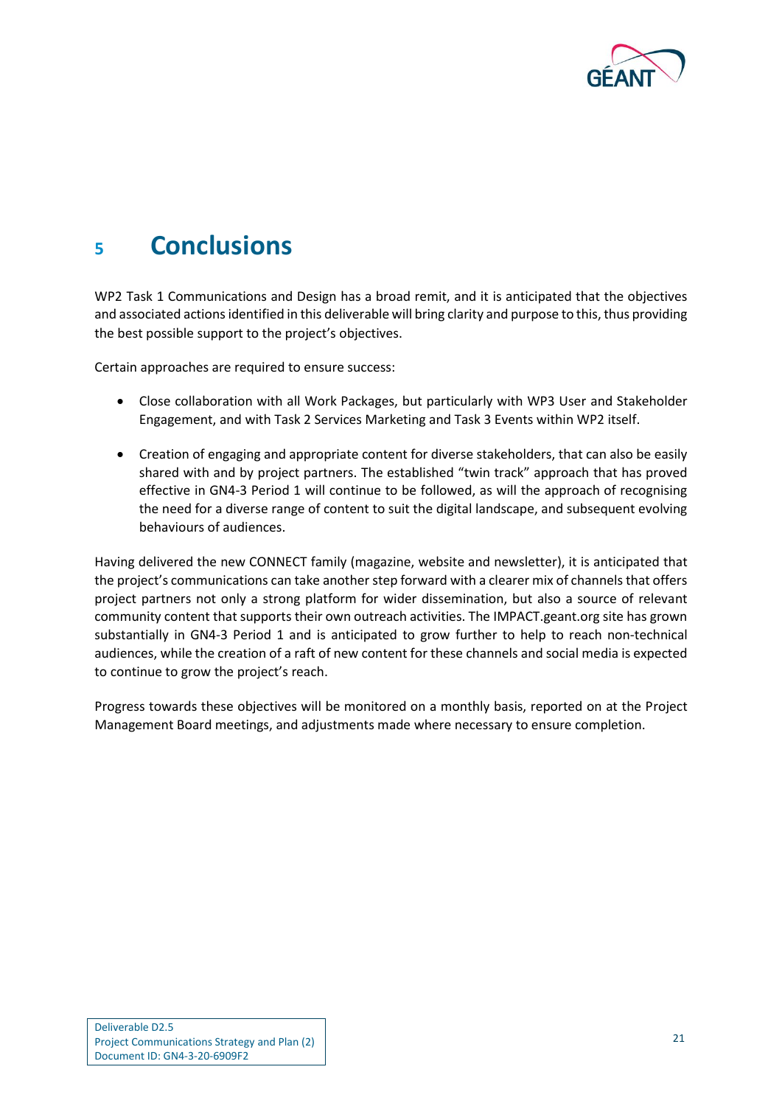

### <span id="page-22-0"></span>**<sup>5</sup> Conclusions**

WP2 Task 1 Communications and Design has a broad remit, and it is anticipated that the objectives and associated actions identified in this deliverable will bring clarity and purpose to this, thus providing the best possible support to the project's objectives.

Certain approaches are required to ensure success:

- Close collaboration with all Work Packages, but particularly with WP3 User and Stakeholder Engagement, and with Task 2 Services Marketing and Task 3 Events within WP2 itself.
- Creation of engaging and appropriate content for diverse stakeholders, that can also be easily shared with and by project partners. The established "twin track" approach that has proved effective in GN4-3 Period 1 will continue to be followed, as will the approach of recognising the need for a diverse range of content to suit the digital landscape, and subsequent evolving behaviours of audiences.

Having delivered the new CONNECT family (magazine, website and newsletter), it is anticipated that the project's communications can take another step forward with a clearer mix of channels that offers project partners not only a strong platform for wider dissemination, but also a source of relevant community content that supports their own outreach activities. The IMPACT.geant.org site has grown substantially in GN4-3 Period 1 and is anticipated to grow further to help to reach non-technical audiences, while the creation of a raft of new content for these channels and social media is expected to continue to grow the project's reach.

Progress towards these objectives will be monitored on a monthly basis, reported on at the Project Management Board meetings, and adjustments made where necessary to ensure completion.